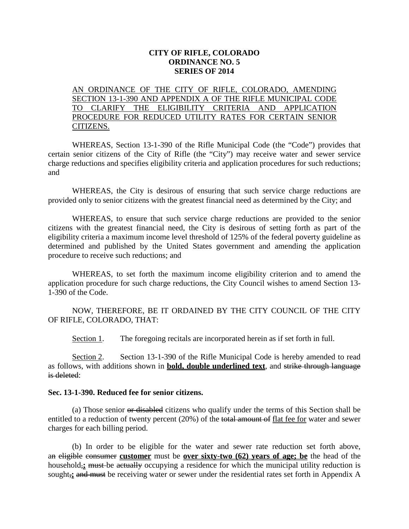## **CITY OF RIFLE, COLORADO ORDINANCE NO. 5 SERIES OF 2014**

## AN ORDINANCE OF THE CITY OF RIFLE, COLORADO, AMENDING SECTION 13-1-390 AND APPENDIX A OF THE RIFLE MUNICIPAL CODE TO CLARIFY THE ELIGIBILITY CRITERIA AND APPLICATION PROCEDURE FOR REDUCED UTILITY RATES FOR CERTAIN SENIOR CITIZENS.

WHEREAS, Section 13-1-390 of the Rifle Municipal Code (the "Code") provides that certain senior citizens of the City of Rifle (the "City") may receive water and sewer service charge reductions and specifies eligibility criteria and application procedures for such reductions; and

WHEREAS, the City is desirous of ensuring that such service charge reductions are provided only to senior citizens with the greatest financial need as determined by the City; and

WHEREAS, to ensure that such service charge reductions are provided to the senior citizens with the greatest financial need, the City is desirous of setting forth as part of the eligibility criteria a maximum income level threshold of 125% of the federal poverty guideline as determined and published by the United States government and amending the application procedure to receive such reductions; and

WHEREAS, to set forth the maximum income eligibility criterion and to amend the application procedure for such charge reductions, the City Council wishes to amend Section 13- 1-390 of the Code.

NOW, THEREFORE, BE IT ORDAINED BY THE CITY COUNCIL OF THE CITY OF RIFLE, COLORADO, THAT:

Section 1. The foregoing recitals are incorporated herein as if set forth in full.

Section 2. Section 13-1-390 of the Rifle Municipal Code is hereby amended to read as follows, with additions shown in **bold, double underlined text**, and strike through language is deleted:

## **Sec. 13-1-390. Reduced fee for senior citizens.**

(a) Those senior or disabled citizens who qualify under the terms of this Section shall be entitled to a reduction of twenty percent (20%) of the total amount of flat fee for water and sewer charges for each billing period.

(b) In order to be eligible for the water and sewer rate reduction set forth above, an eligible consumer **customer** must be **over sixty-two (62) years of age; be** the head of the household<sub> $\frac{1}{2}$  must be actually occupying a residence for which the municipal utility reduction is</sub> sought<sub>:</sub>**;** and must be receiving water or sewer under the residential rates set forth in Appendix A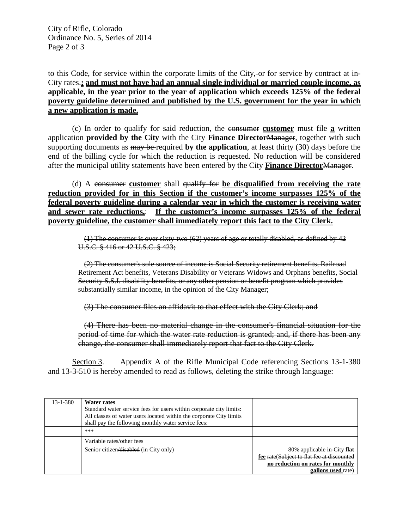City of Rifle, Colorado Ordinance No. 5, Series of 2014 Page 2 of 3

to this Code, for service within the corporate limits of the City, or for service by contract at in-City rates.**; and must not have had an annual single individual or married couple income, as applicable, in the year prior to the year of application which exceeds 125% of the federal poverty guideline determined and published by the U.S. government for the year in which a new application is made.**

(c) In order to qualify for said reduction, the consumer **customer** must file **a** written application **provided by the City** with the City **Finance Director**Manager, together with such supporting documents as may be required **by the application**, at least thirty (30) days before the end of the billing cycle for which the reduction is requested. No reduction will be considered after the municipal utility statements have been entered by the City **Finance Director**Manager.

(d) A consumer **customer** shall qualify for **be disqualified from receiving the rate reduction provided for in this Section if the customer's income surpasses 125% of the federal poverty guideline during a calendar year in which the customer is receiving water and sewer rate reductions.**: **If the customer's income surpasses 125% of the federal poverty guideline, the customer shall immediately report this fact to the City Clerk.** 

(1) The consumer is over sixty-two (62) years of age or totally disabled, as defined by 42 U.S.C. § 416 or 42 U.S.C. § 423;

(2) The consumer's sole source of income is Social Security retirement benefits, Railroad Retirement Act benefits, Veterans Disability or Veterans Widows and Orphans benefits, Social Security S.S.I. disability benefits, or any other pension or benefit program which provides substantially similar income, in the opinion of the City Manager;

(3) The consumer files an affidavit to that effect with the City Clerk; and

(4) There has been no material change in the consumer's financial situation for the period of time for which the water rate reduction is granted; and, if there has been any change, the consumer shall immediately report that fact to the City Clerk.

Section 3. Appendix A of the Rifle Municipal Code referencing Sections 13-1-380 and 13-3-510 is hereby amended to read as follows, deleting the strike through language:

| $13 - 1 - 380$ | Water rates<br>Standard water service fees for users within corporate city limits:<br>All classes of water users located within the corporate City limits<br>shall pay the following monthly water service fees: |                                                                                                                                      |
|----------------|------------------------------------------------------------------------------------------------------------------------------------------------------------------------------------------------------------------|--------------------------------------------------------------------------------------------------------------------------------------|
|                | ***                                                                                                                                                                                                              |                                                                                                                                      |
|                | Variable rates/other fees                                                                                                                                                                                        |                                                                                                                                      |
|                | Senior citizen/disabled (in City only)                                                                                                                                                                           | 80% applicable in-City flat<br>fee rate(Subject to flat fee at discounted<br>no reduction on rates for monthly<br>gallons used rate) |